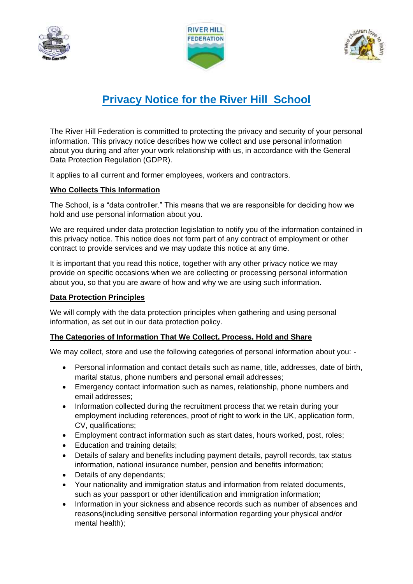





# **Privacy Notice for the River Hill School**

The River Hill Federation is committed to protecting the privacy and security of your personal information. This privacy notice describes how we collect and use personal information about you during and after your work relationship with us, in accordance with the General Data Protection Regulation (GDPR).

It applies to all current and former employees, workers and contractors.

## **Who Collects This Information**

The School, is a "data controller." This means that we are responsible for deciding how we hold and use personal information about you.

We are required under data protection legislation to notify you of the information contained in this privacy notice. This notice does not form part of any contract of employment or other contract to provide services and we may update this notice at any time.

It is important that you read this notice, together with any other privacy notice we may provide on specific occasions when we are collecting or processing personal information about you, so that you are aware of how and why we are using such information.

## **Data Protection Principles**

We will comply with the data protection principles when gathering and using personal information, as set out in our data protection policy.

## **The Categories of Information That We Collect, Process, Hold and Share**

We may collect, store and use the following categories of personal information about you: -

- Personal information and contact details such as name, title, addresses, date of birth, marital status, phone numbers and personal email addresses;
- Emergency contact information such as names, relationship, phone numbers and email addresses;
- Information collected during the recruitment process that we retain during your employment including references, proof of right to work in the UK, application form, CV, qualifications;
- Employment contract information such as start dates, hours worked, post, roles;
- Education and training details:
- Details of salary and benefits including payment details, payroll records, tax status information, national insurance number, pension and benefits information;
- Details of any dependants:
- Your nationality and immigration status and information from related documents, such as your passport or other identification and immigration information;
- Information in your sickness and absence records such as number of absences and reasons(including sensitive personal information regarding your physical and/or mental health);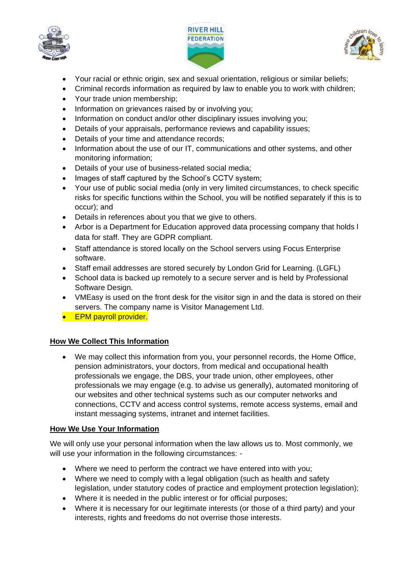





- Your racial or ethnic origin, sex and sexual orientation, religious or similar beliefs;
- Criminal records information as required by law to enable you to work with children;
- Your trade union membership;
- Information on grievances raised by or involving you;
- Information on conduct and/or other disciplinary issues involving you:
- Details of your appraisals, performance reviews and capability issues;
- Details of your time and attendance records;
- Information about the use of our IT, communications and other systems, and other monitoring information;
- Details of your use of business-related social media;
- Images of staff captured by the School's CCTV system;
- Your use of public social media (only in very limited circumstances, to check specific risks for specific functions within the School, you will be notified separately if this is to occur); and
- Details in references about you that we give to others.
- Arbor is a Department for Education approved data processing company that holds l data for staff. They are GDPR compliant.
- Staff attendance is stored locally on the School servers using Focus Enterprise software.
- Staff email addresses are stored securely by London Grid for Learning. (LGFL)
- School data is backed up remotely to a secure server and is held by Professional Software Design.
- VMEasy is used on the front desk for the visitor sign in and the data is stored on their servers. The company name is Visitor Management Ltd.
- **•** EPM payroll provider.

## **How We Collect This Information**

• We may collect this information from you, your personnel records, the Home Office, pension administrators, your doctors, from medical and occupational health professionals we engage, the DBS, your trade union, other employees, other professionals we may engage (e.g. to advise us generally), automated monitoring of our websites and other technical systems such as our computer networks and connections, CCTV and access control systems, remote access systems, email and instant messaging systems, intranet and internet facilities.

## **How We Use Your Information**

We will only use your personal information when the law allows us to. Most commonly, we will use your information in the following circumstances: -

- Where we need to perform the contract we have entered into with you;
- Where we need to comply with a legal obligation (such as health and safety legislation, under statutory codes of practice and employment protection legislation);
- Where it is needed in the public interest or for official purposes;
- Where it is necessary for our legitimate interests (or those of a third party) and your interests, rights and freedoms do not overrise those interests.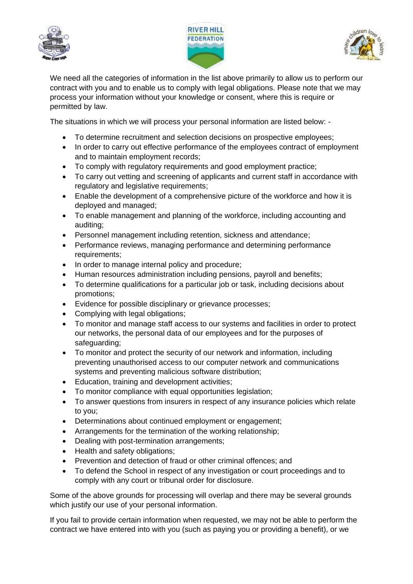





We need all the categories of information in the list above primarily to allow us to perform our contract with you and to enable us to comply with legal obligations. Please note that we may process your information without your knowledge or consent, where this is require or permitted by law.

The situations in which we will process your personal information are listed below: -

- To determine recruitment and selection decisions on prospective employees;
- In order to carry out effective performance of the employees contract of employment and to maintain employment records;
- To comply with regulatory requirements and good employment practice;
- To carry out vetting and screening of applicants and current staff in accordance with regulatory and legislative requirements;
- Enable the development of a comprehensive picture of the workforce and how it is deployed and managed;
- To enable management and planning of the workforce, including accounting and auditing;
- Personnel management including retention, sickness and attendance;
- Performance reviews, managing performance and determining performance requirements;
- In order to manage internal policy and procedure;
- Human resources administration including pensions, payroll and benefits;
- To determine qualifications for a particular job or task, including decisions about promotions;
- Evidence for possible disciplinary or grievance processes;
- Complying with legal obligations;
- To monitor and manage staff access to our systems and facilities in order to protect our networks, the personal data of our employees and for the purposes of safeguarding;
- To monitor and protect the security of our network and information, including preventing unauthorised access to our computer network and communications systems and preventing malicious software distribution;
- Education, training and development activities;
- To monitor compliance with equal opportunities legislation;
- To answer questions from insurers in respect of any insurance policies which relate to you;
- Determinations about continued employment or engagement;
- Arrangements for the termination of the working relationship;
- Dealing with post-termination arrangements;
- Health and safety obligations;
- Prevention and detection of fraud or other criminal offences; and
- To defend the School in respect of any investigation or court proceedings and to comply with any court or tribunal order for disclosure.

Some of the above grounds for processing will overlap and there may be several grounds which justify our use of your personal information.

If you fail to provide certain information when requested, we may not be able to perform the contract we have entered into with you (such as paying you or providing a benefit), or we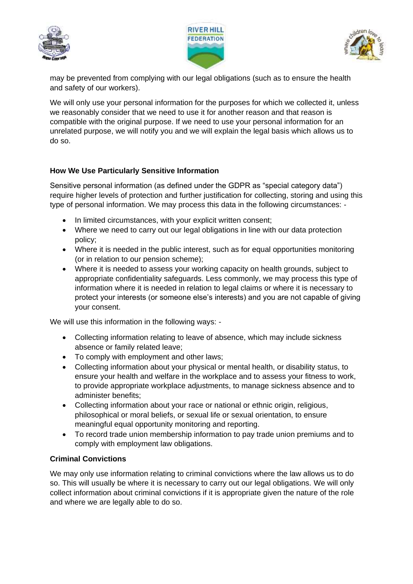





may be prevented from complying with our legal obligations (such as to ensure the health and safety of our workers).

We will only use your personal information for the purposes for which we collected it, unless we reasonably consider that we need to use it for another reason and that reason is compatible with the original purpose. If we need to use your personal information for an unrelated purpose, we will notify you and we will explain the legal basis which allows us to do so.

# **How We Use Particularly Sensitive Information**

Sensitive personal information (as defined under the GDPR as "special category data") require higher levels of protection and further justification for collecting, storing and using this type of personal information. We may process this data in the following circumstances: -

- In limited circumstances, with your explicit written consent;
- Where we need to carry out our legal obligations in line with our data protection policy;
- Where it is needed in the public interest, such as for equal opportunities monitoring (or in relation to our pension scheme);
- Where it is needed to assess your working capacity on health grounds, subject to appropriate confidentiality safeguards. Less commonly, we may process this type of information where it is needed in relation to legal claims or where it is necessary to protect your interests (or someone else's interests) and you are not capable of giving your consent.

We will use this information in the following ways: -

- Collecting information relating to leave of absence, which may include sickness absence or family related leave;
- To comply with employment and other laws;
- Collecting information about your physical or mental health, or disability status, to ensure your health and welfare in the workplace and to assess your fitness to work, to provide appropriate workplace adjustments, to manage sickness absence and to administer benefits;
- Collecting information about your race or national or ethnic origin, religious, philosophical or moral beliefs, or sexual life or sexual orientation, to ensure meaningful equal opportunity monitoring and reporting.
- To record trade union membership information to pay trade union premiums and to comply with employment law obligations.

## **Criminal Convictions**

We may only use information relating to criminal convictions where the law allows us to do so. This will usually be where it is necessary to carry out our legal obligations. We will only collect information about criminal convictions if it is appropriate given the nature of the role and where we are legally able to do so.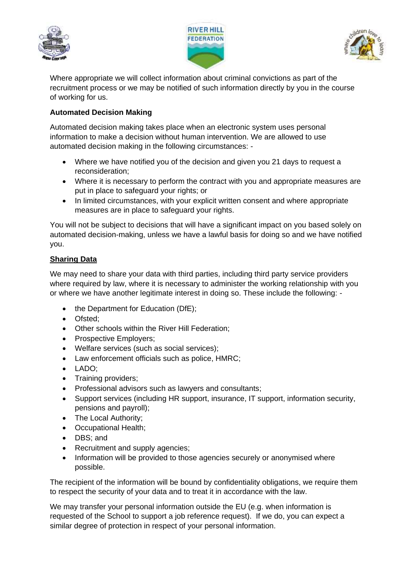





Where appropriate we will collect information about criminal convictions as part of the recruitment process or we may be notified of such information directly by you in the course of working for us.

## **Automated Decision Making**

Automated decision making takes place when an electronic system uses personal information to make a decision without human intervention. We are allowed to use automated decision making in the following circumstances: -

- Where we have notified you of the decision and given you 21 days to request a reconsideration;
- Where it is necessary to perform the contract with you and appropriate measures are put in place to safeguard your rights; or
- In limited circumstances, with your explicit written consent and where appropriate measures are in place to safeguard your rights.

You will not be subject to decisions that will have a significant impact on you based solely on automated decision-making, unless we have a lawful basis for doing so and we have notified you.

## **Sharing Data**

We may need to share your data with third parties, including third party service providers where required by law, where it is necessary to administer the working relationship with you or where we have another legitimate interest in doing so. These include the following: -

- the Department for Education (DfE);
- Ofsted;
- Other schools within the River Hill Federation;
- Prospective Employers:
- Welfare services (such as social services);
- Law enforcement officials such as police, HMRC;
- LADO;
- Training providers;
- Professional advisors such as lawyers and consultants;
- Support services (including HR support, insurance, IT support, information security, pensions and payroll);
- The Local Authority;
- Occupational Health;
- DBS; and
- Recruitment and supply agencies;
- Information will be provided to those agencies securely or anonymised where possible.

The recipient of the information will be bound by confidentiality obligations, we require them to respect the security of your data and to treat it in accordance with the law.

We may transfer your personal information outside the EU (e.g. when information is requested of the School to support a job reference request). If we do, you can expect a similar degree of protection in respect of your personal information.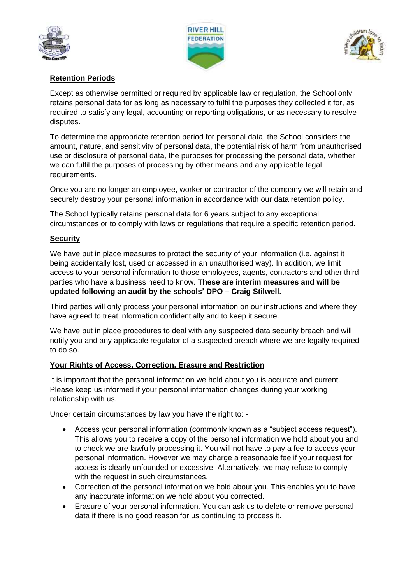





# **Retention Periods**

Except as otherwise permitted or required by applicable law or regulation, the School only retains personal data for as long as necessary to fulfil the purposes they collected it for, as required to satisfy any legal, accounting or reporting obligations, or as necessary to resolve disputes.

To determine the appropriate retention period for personal data, the School considers the amount, nature, and sensitivity of personal data, the potential risk of harm from unauthorised use or disclosure of personal data, the purposes for processing the personal data, whether we can fulfil the purposes of processing by other means and any applicable legal requirements.

Once you are no longer an employee, worker or contractor of the company we will retain and securely destroy your personal information in accordance with our data retention policy.

The School typically retains personal data for 6 years subject to any exceptional circumstances or to comply with laws or regulations that require a specific retention period.

#### **Security**

We have put in place measures to protect the security of your information (i.e. against it being accidentally lost, used or accessed in an unauthorised way). In addition, we limit access to your personal information to those employees, agents, contractors and other third parties who have a business need to know. **These are interim measures and will be updated following an audit by the schools' DPO – Craig Stilwell.**

Third parties will only process your personal information on our instructions and where they have agreed to treat information confidentially and to keep it secure.

We have put in place procedures to deal with any suspected data security breach and will notify you and any applicable regulator of a suspected breach where we are legally required to do so.

#### **Your Rights of Access, Correction, Erasure and Restriction**

It is important that the personal information we hold about you is accurate and current. Please keep us informed if your personal information changes during your working relationship with us.

Under certain circumstances by law you have the right to: -

- Access your personal information (commonly known as a "subject access request"). This allows you to receive a copy of the personal information we hold about you and to check we are lawfully processing it. You will not have to pay a fee to access your personal information. However we may charge a reasonable fee if your request for access is clearly unfounded or excessive. Alternatively, we may refuse to comply with the request in such circumstances.
- Correction of the personal information we hold about you. This enables you to have any inaccurate information we hold about you corrected.
- Erasure of your personal information. You can ask us to delete or remove personal data if there is no good reason for us continuing to process it.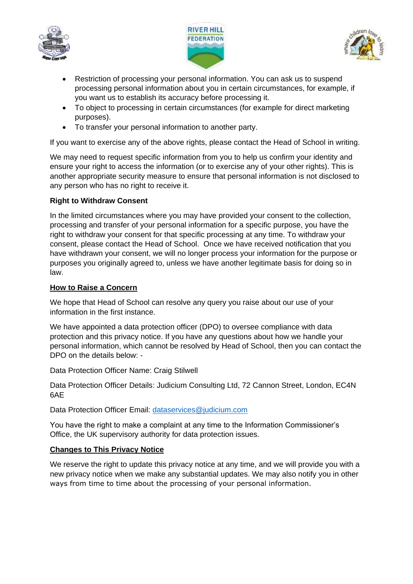





- Restriction of processing your personal information. You can ask us to suspend processing personal information about you in certain circumstances, for example, if you want us to establish its accuracy before processing it.
- To object to processing in certain circumstances (for example for direct marketing purposes).
- To transfer your personal information to another party.

If you want to exercise any of the above rights, please contact the Head of School in writing.

We may need to request specific information from you to help us confirm your identity and ensure your right to access the information (or to exercise any of your other rights). This is another appropriate security measure to ensure that personal information is not disclosed to any person who has no right to receive it.

# **Right to Withdraw Consent**

In the limited circumstances where you may have provided your consent to the collection, processing and transfer of your personal information for a specific purpose, you have the right to withdraw your consent for that specific processing at any time. To withdraw your consent, please contact the Head of School. Once we have received notification that you have withdrawn your consent, we will no longer process your information for the purpose or purposes you originally agreed to, unless we have another legitimate basis for doing so in law.

## **How to Raise a Concern**

We hope that Head of School can resolve any query you raise about our use of your information in the first instance.

We have appointed a data protection officer (DPO) to oversee compliance with data protection and this privacy notice. If you have any questions about how we handle your personal information, which cannot be resolved by Head of School, then you can contact the DPO on the details below: -

Data Protection Officer Name: Craig Stilwell

Data Protection Officer Details: Judicium Consulting Ltd, 72 Cannon Street, London, EC4N 6AE

Data Protection Officer Email: [dataservices@judicium.com](mailto:dataservices@judicium.com)

You have the right to make a complaint at any time to the Information Commissioner's Office, the UK supervisory authority for data protection issues.

## **Changes to This Privacy Notice**

We reserve the right to update this privacy notice at any time, and we will provide you with a new privacy notice when we make any substantial updates. We may also notify you in other ways from time to time about the processing of your personal information.